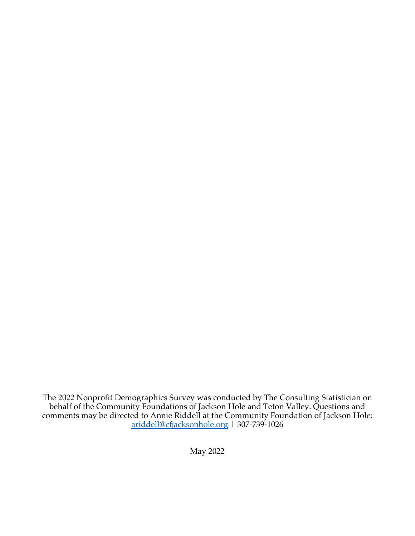The 2022 Nonprofit Demographics Survey was conducted by The Consulting Statistician on behalf of the Community Foundations of Jackson Hole and Teton Valley. Questions and comments may be directed to Annie Riddell at the Community Foundation of Jackson Hole: ariddell@cfjacksonhole.org | 307-739-1026

May 2022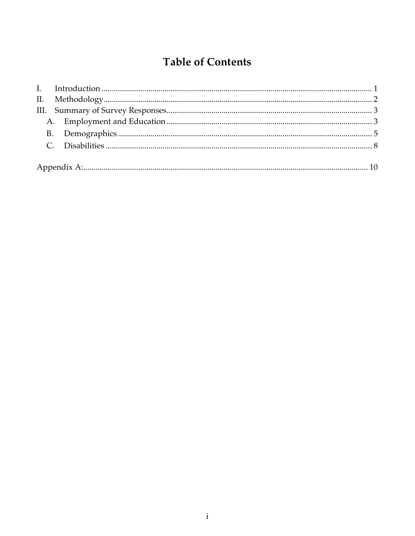## **Table of Contents**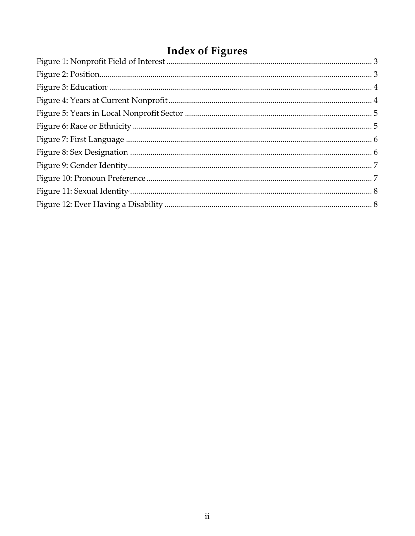# **Index of Figures**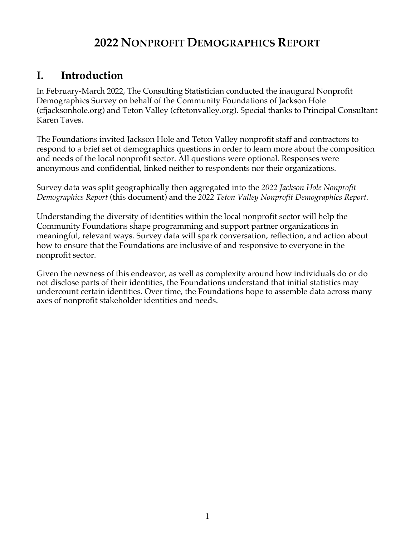## **2022 NONPROFIT DEMOGRAPHICS REPORT**

## **I. Introduction**

In February-March 2022, The Consulting Statistician conducted the inaugural Nonprofit Demographics Survey on behalf of the Community Foundations of Jackson Hole (cfjacksonhole.org) and Teton Valley (cftetonvalley.org). Special thanks to Principal Consultant Karen Taves.

The Foundations invited Jackson Hole and Teton Valley nonprofit staff and contractors to respond to a brief set of demographics questions in order to learn more about the composition and needs of the local nonprofit sector. All questions were optional. Responses were anonymous and confidential, linked neither to respondents nor their organizations.

Survey data was split geographically then aggregated into the *2022 Jackson Hole Nonprofit Demographics Report* (this document) and the *2022 Teton Valley Nonprofit Demographics Report.*

Understanding the diversity of identities within the local nonprofit sector will help the Community Foundations shape programming and support partner organizations in meaningful, relevant ways. Survey data will spark conversation, reflection, and action about how to ensure that the Foundations are inclusive of and responsive to everyone in the nonprofit sector.

Given the newness of this endeavor, as well as complexity around how individuals do or do not disclose parts of their identities, the Foundations understand that initial statistics may undercount certain identities. Over time, the Foundations hope to assemble data across many axes of nonprofit stakeholder identities and needs.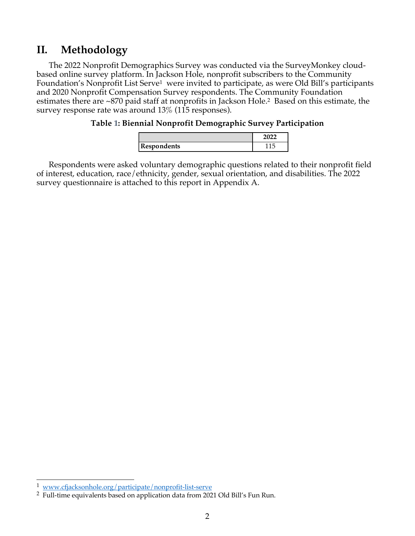### **II. Methodology**

The 2022 Nonprofit Demographics Survey was conducted via the SurveyMonkey cloudbased online survey platform. In Jackson Hole, nonprofit subscribers to the Community Foundation's Nonprofit List Serve<sup>1</sup> were invited to participate, as were Old Bill's participants and 2020 Nonprofit Compensation Survey respondents. The Community Foundation estimates there are ~870 paid staff at nonprofits in Jackson Hole. <sup>2</sup> Based on this estimate, the survey response rate was around 13% (115 responses).

#### **Table 1: Biennial Nonprofit Demographic Survey Participation**

| Respondents |  |
|-------------|--|

Respondents were asked voluntary demographic questions related to their nonprofit field of interest, education, race/ethnicity, gender, sexual orientation, and disabilities. The 2022 survey questionnaire is attached to this report in Appendix A.

<sup>&</sup>lt;sup>1</sup> www.cfjacksonhole.org/participate/nonprofit-list-serve

<sup>2</sup> Full-time equivalents based on application data from 2021 Old Bill's Fun Run.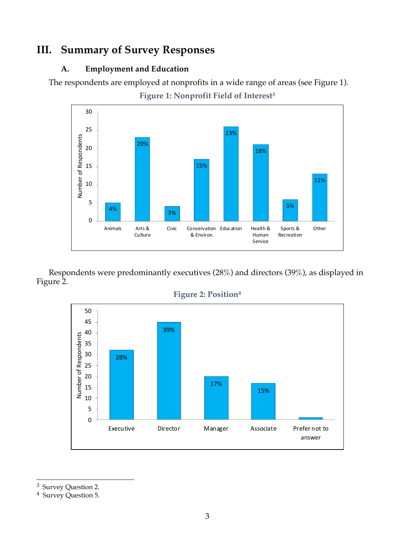### **III. Summary of Survey Responses**

#### **A. Employment and Education**

The respondents are employed at nonprofits in a wide range of areas (see Figure 1).

**Figure 1: Nonprofit Field of Interest3**



Respondents were predominantly executives (28%) and directors (39%), as displayed in Figure 2.



**Figure 2: Position4**

<sup>3</sup> Survey Question 2.

<sup>4</sup> Survey Question 5.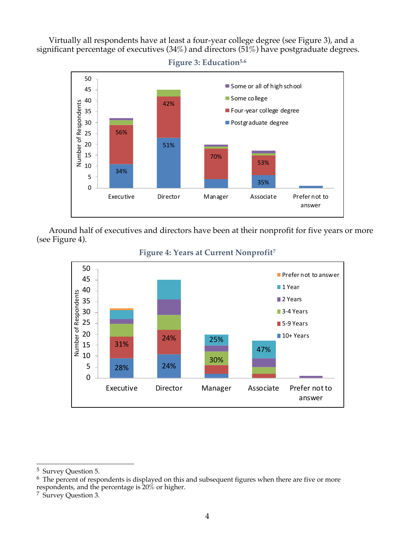Virtually all respondents have at least a four-year college degree (see Figure 3), and a significant percentage of executives (34%) and directors (51%) have postgraduate degrees.

**Figure 3: Education5,6**



Around half of executives and directors have been at their nonprofit for five years or more (see Figure 4).



#### **Figure 4: Years at Current Nonprofit7**

<sup>5</sup> Survey Question 5.

 $6$  The percent of respondents is displayed on this and subsequent figures when there are five or more respondents, and the percentage is 20% or higher.

<sup>7</sup> Survey Question 3.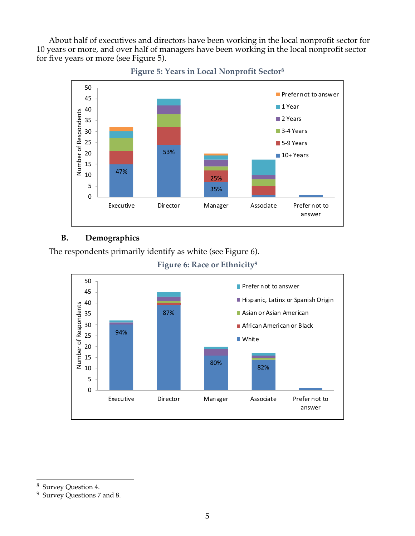About half of executives and directors have been working in the local nonprofit sector for 10 years or more, and over half of managers have been working in the local nonprofit sector for five years or more (see Figure 5).





#### **B. Demographics**

The respondents primarily identify as white (see Figure 6).





<sup>8</sup> Survey Question 4.

<sup>9</sup> Survey Questions 7 and 8.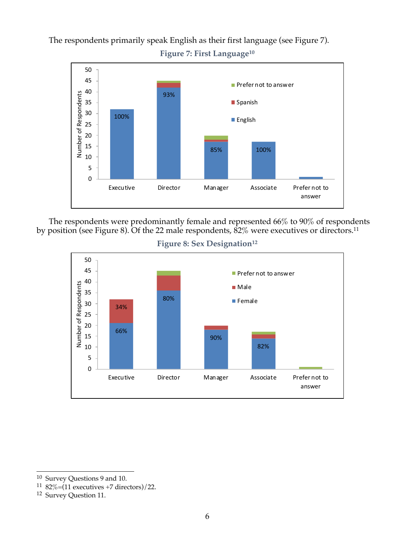The respondents primarily speak English as their first language (see Figure 7).

**Figure 7: First Language10**



The respondents were predominantly female and represented 66% to 90% of respondents by position (see Figure 8). Of the 22 male respondents,  $82\%$  were executives or directors.<sup>11</sup>



Figure 8: Sex Designation<sup>12</sup>

<sup>10</sup> Survey Questions 9 and 10.

 $1182\%$ =(11 executives +7 directors)/22.

<sup>12</sup> Survey Question 11.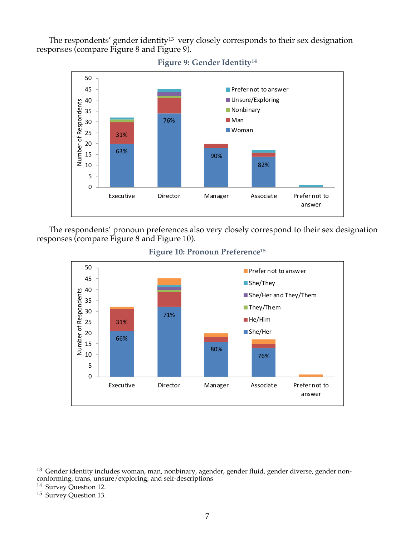The respondents' gender identity<sup>13</sup> very closely corresponds to their sex designation responses (compare Figure 8 and Figure 9).

**Figure 9: Gender Identity14**



The respondents' pronoun preferences also very closely correspond to their sex designation

responses (compare Figure 8 and Figure 10).



**Figure 10: Pronoun Preference15**

<sup>&</sup>lt;sup>13</sup> Gender identity includes woman, man, nonbinary, agender, gender fluid, gender diverse, gender nonconforming, trans, unsure/exploring, and self-descriptions

<sup>14</sup> Survey Question 12.

<sup>15</sup> Survey Question 13.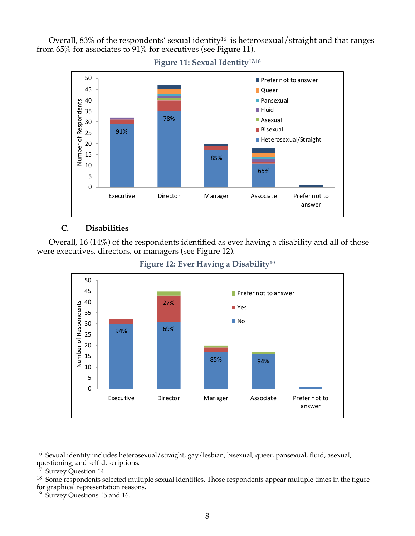Overall,  $83\%$  of the respondents' sexual identity<sup>16</sup> is heterosexual/straight and that ranges from 65% for associates to 91% for executives (see Figure 11).



**Figure 11: Sexual Identity17,18**

#### **C. Disabilities**

Overall, 16 (14%) of the respondents identified as ever having a disability and all of those were executives, directors, or managers (see Figure 12).



**Figure 12: Ever Having a Disability19**

<sup>16</sup> Sexual identity includes heterosexual/straight, gay/lesbian, bisexual, queer, pansexual, fluid, asexual, questioning, and self-descriptions.

<sup>&</sup>lt;sup>17</sup> Survey Question 14.

<sup>&</sup>lt;sup>18</sup> Some respondents selected multiple sexual identities. Those respondents appear multiple times in the figure for graphical representation reasons.

<sup>19</sup> Survey Questions 15 and 16.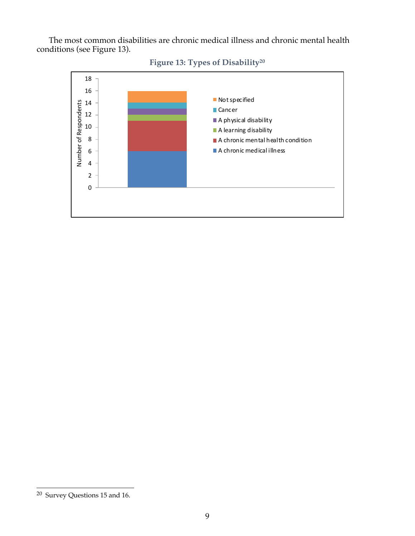The most common disabilities are chronic medical illness and chronic mental health conditions (see Figure 13).



### **Figure 13: Types of Disability20**

<sup>20</sup> Survey Questions 15 and 16.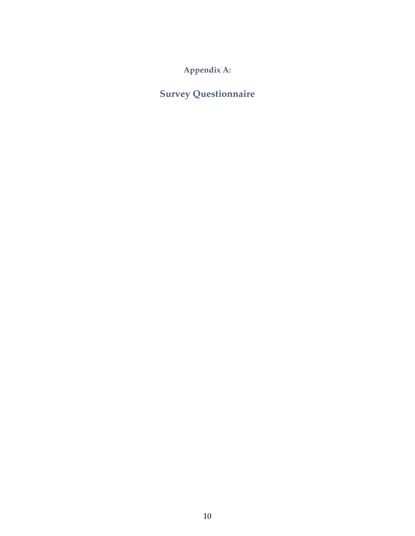**Appendix A:**

**Survey Questionnaire**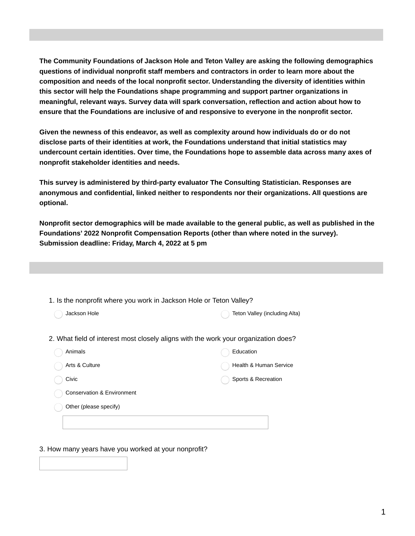**The Community Foundations of Jackson Hole and Teton Valley are asking the following demographics questions of individual nonprofit staff members and contractors in order to learn more about the composition and needs of the local nonprofit sector. Understanding the diversity of identities within this sector will help the Foundations shape programming and support partner organizations in meaningful, relevant ways. Survey data will spark conversation, reflection and action about how to ensure that the Foundations are inclusive of and responsive to everyone in the nonprofit sector.**

**Given the newness of this endeavor, as well as complexity around how individuals do or do not disclose parts of their identities at work, the Foundations understand that initial statistics may undercount certain identities. Over time, the Foundations hope to assemble data across many axes of nonprofit stakeholder identities and needs.**

**This survey is administered by third-party evaluator The Consulting Statistician. Responses are anonymous and confidential, linked neither to respondents nor their organizations. All questions are optional.**

**Nonprofit sector demographics will be made available to the general public, as well as published in the Foundations' 2022 Nonprofit Compensation Reports (other than where noted in the survey). Submission deadline: Friday, March 4, 2022 at 5 pm**

| 1. Is the nonprofit where you work in Jackson Hole or Teton Valley?                 |                               |
|-------------------------------------------------------------------------------------|-------------------------------|
| Jackson Hole                                                                        | Teton Valley (including Alta) |
| 2. What field of interest most closely aligns with the work your organization does? |                               |
| Animals                                                                             | Education                     |
| Arts & Culture                                                                      | Health & Human Service        |
| Civic                                                                               | Sports & Recreation           |
| Conservation & Environment                                                          |                               |
| Other (please specify)                                                              |                               |
|                                                                                     |                               |

3. How many years have you worked at your nonprofit?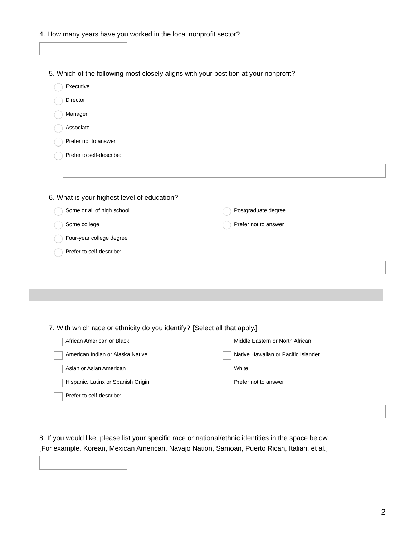| 4. How many years have you worked in the local nonprofit sector? |  |
|------------------------------------------------------------------|--|
|------------------------------------------------------------------|--|

Г

|                                                                           | 5. Which of the following most closely aligns with your postition at your nonprofit? |
|---------------------------------------------------------------------------|--------------------------------------------------------------------------------------|
| Executive                                                                 |                                                                                      |
| Director                                                                  |                                                                                      |
| Manager                                                                   |                                                                                      |
| Associate                                                                 |                                                                                      |
| Prefer not to answer                                                      |                                                                                      |
| Prefer to self-describe:                                                  |                                                                                      |
|                                                                           |                                                                                      |
|                                                                           |                                                                                      |
| 6. What is your highest level of education?                               |                                                                                      |
| Some or all of high school                                                | Postgraduate degree                                                                  |
| Some college                                                              | Prefer not to answer                                                                 |
| Four-year college degree                                                  |                                                                                      |
| Prefer to self-describe:                                                  |                                                                                      |
|                                                                           |                                                                                      |
|                                                                           |                                                                                      |
|                                                                           |                                                                                      |
|                                                                           |                                                                                      |
|                                                                           |                                                                                      |
| 7. With which race or ethnicity do you identify? [Select all that apply.] |                                                                                      |
| African American or Black                                                 | Middle Eastern or North African                                                      |
| American Indian or Alaska Native                                          | Native Hawaiian or Pacific Islander                                                  |
| Asian or Asian American                                                   | White                                                                                |
|                                                                           | Prefer not to answer                                                                 |
| Hispanic, Latinx or Spanish Origin                                        |                                                                                      |

8. If you would like, please list your specific race or national/ethnic identities in the space below. [For example, Korean, Mexican American, Navajo Nation, Samoan, Puerto Rican, Italian, et al.]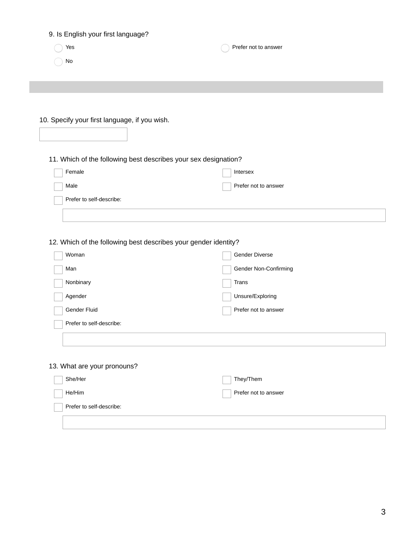| 9. Is English your first language?                                       |                       |
|--------------------------------------------------------------------------|-----------------------|
| Yes                                                                      | Prefer not to answer  |
| No                                                                       |                       |
|                                                                          |                       |
|                                                                          |                       |
|                                                                          |                       |
| 10. Specify your first language, if you wish.                            |                       |
|                                                                          |                       |
|                                                                          |                       |
| 11. Which of the following best describes your sex designation?          |                       |
| Female                                                                   | Intersex              |
| Male                                                                     | Prefer not to answer  |
| Prefer to self-describe:                                                 |                       |
|                                                                          |                       |
|                                                                          |                       |
|                                                                          |                       |
|                                                                          |                       |
| 12. Which of the following best describes your gender identity?<br>Woman | Gender Diverse        |
| Man                                                                      |                       |
|                                                                          | Gender Non-Confirming |
| Nonbinary                                                                | Trans                 |
| Agender                                                                  | Unsure/Exploring      |
| Gender Fluid                                                             | Prefer not to answer  |
| Prefer to self-describe:                                                 |                       |
|                                                                          |                       |
|                                                                          |                       |
| 13. What are your pronouns?                                              |                       |
| She/Her                                                                  | They/Them             |
| He/Him                                                                   | Prefer not to answer  |
| Prefer to self-describe:                                                 |                       |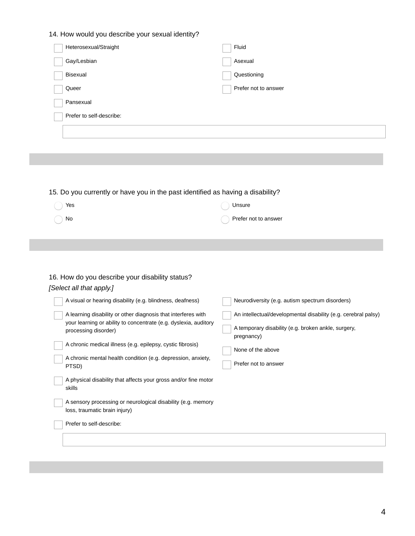#### 14. How would you describe your sexual identity?

| Heterosexual/Straight    | Fluid                |
|--------------------------|----------------------|
| Gay/Lesbian              | Asexual              |
| Bisexual                 | Questioning          |
| Queer                    | Prefer not to answer |
| Pansexual                |                      |
| Prefer to self-describe: |                      |
|                          |                      |
|                          |                      |

#### 15. Do you currently or have you in the past identified as having a disability?

| $\bigcirc$ Yes | ( ) Unsure           |
|----------------|----------------------|
| $\bigcirc$ No  | Prefer not to answer |

#### 16. How do you describe your disability status? *[Select all that apply.]*

| A visual or hearing disability (e.g. blindness, deafness)                                                                                                                                                                                                                                        | Neurodiversity (e.g. autism spectrum disorders)                                                                                                                                  |
|--------------------------------------------------------------------------------------------------------------------------------------------------------------------------------------------------------------------------------------------------------------------------------------------------|----------------------------------------------------------------------------------------------------------------------------------------------------------------------------------|
| A learning disability or other diagnosis that interferes with<br>your learning or ability to concentrate (e.g. dyslexia, auditory<br>processing disorder)<br>A chronic medical illness (e.g. epilepsy, cystic fibrosis)<br>A chronic mental health condition (e.g. depression, anxiety,<br>PTSD) | An intellectual/developmental disability (e.g. cerebral palsy)<br>A temporary disability (e.g. broken ankle, surgery,<br>pregnancy)<br>None of the above<br>Prefer not to answer |
| A physical disability that affects your gross and/or fine motor<br>skills                                                                                                                                                                                                                        |                                                                                                                                                                                  |
| A sensory processing or neurological disability (e.g. memory<br>loss, traumatic brain injury)                                                                                                                                                                                                    |                                                                                                                                                                                  |
| Prefer to self-describe:                                                                                                                                                                                                                                                                         |                                                                                                                                                                                  |
|                                                                                                                                                                                                                                                                                                  |                                                                                                                                                                                  |
|                                                                                                                                                                                                                                                                                                  |                                                                                                                                                                                  |